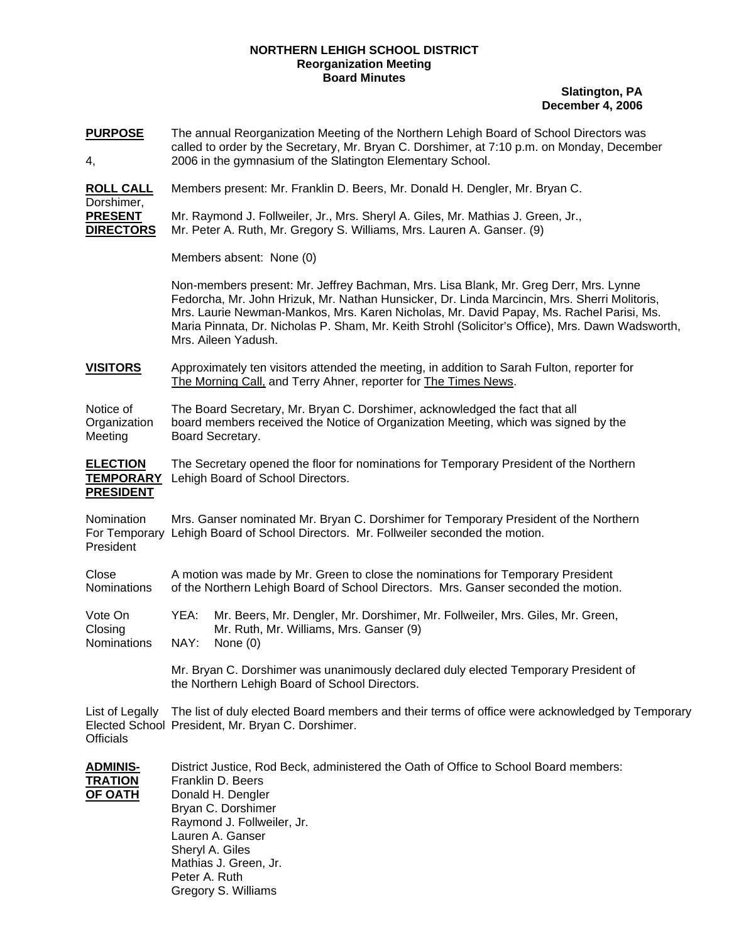## **NORTHERN LEHIGH SCHOOL DISTRICT Reorganization Meeting Board Minutes**

**Slatington, PA December 4, 2006**

**PURPOSE** The annual Reorganization Meeting of the Northern Lehigh Board of School Directors was called to order by the Secretary, Mr. Bryan C. Dorshimer, at 7:10 p.m. on Monday, December 4, 2006 in the gymnasium of the Slatington Elementary School.

**ROLL CALL** Members present: Mr. Franklin D. Beers, Mr. Donald H. Dengler, Mr. Bryan C.

Dorshimer, **PRESENT** Mr. Raymond J. Follweiler, Jr., Mrs. Sheryl A. Giles, Mr. Mathias J. Green, Jr., **DIRECTORS** Mr. Peter A. Ruth, Mr. Gregory S. Williams, Mrs. Lauren A. Ganser. (9)

Members absent: None (0)

Non-members present: Mr. Jeffrey Bachman, Mrs. Lisa Blank, Mr. Greg Derr, Mrs. Lynne Fedorcha, Mr. John Hrizuk, Mr. Nathan Hunsicker, Dr. Linda Marcincin, Mrs. Sherri Molitoris, Mrs. Laurie Newman-Mankos, Mrs. Karen Nicholas, Mr. David Papay, Ms. Rachel Parisi, Ms. Maria Pinnata, Dr. Nicholas P. Sham, Mr. Keith Strohl (Solicitor's Office), Mrs. Dawn Wadsworth, Mrs. Aileen Yadush.

**VISITORS** Approximately ten visitors attended the meeting, in addition to Sarah Fulton, reporter for The Morning Call, and Terry Ahner, reporter for The Times News.

Notice of The Board Secretary, Mr. Bryan C. Dorshimer, acknowledged the fact that all Organization board members received the Notice of Organization Meeting, which was signed by the Meeting Board Secretary.

**ELECTION** The Secretary opened the floor for nominations for Temporary President of the Northern **TEMPORARY** Lehigh Board of School Directors. **PRESIDENT**

Nomination Mrs. Ganser nominated Mr. Bryan C. Dorshimer for Temporary President of the Northern For Temporary Lehigh Board of School Directors. Mr. Follweiler seconded the motion. President

Close A motion was made by Mr. Green to close the nominations for Temporary President Nominations of the Northern Lehigh Board of School Directors. Mrs. Ganser seconded the motion.

Vote On YEA: Mr. Beers, Mr. Dengler, Mr. Dorshimer, Mr. Follweiler, Mrs. Giles, Mr. Green, Closing Mr. Ruth, Mr. Williams, Mrs. Ganser (9) Nominations NAY: None (0)

> Mr. Bryan C. Dorshimer was unanimously declared duly elected Temporary President of the Northern Lehigh Board of School Directors.

List of Legally The list of duly elected Board members and their terms of office were acknowledged by Temporary Elected School President, Mr. Bryan C. Dorshimer. **Officials** 

| <b>ADMINIS-</b> | District Justice, Rod Beck, administered the Oath of Office to School Board members: |
|-----------------|--------------------------------------------------------------------------------------|
| <b>TRATION</b>  | Franklin D. Beers                                                                    |
| <b>OF OATH</b>  | Donald H. Dengler                                                                    |
|                 | Bryan C. Dorshimer                                                                   |
|                 | Raymond J. Follweiler, Jr.                                                           |
|                 | Lauren A. Ganser                                                                     |
|                 | Sheryl A. Giles                                                                      |
|                 | Mathias J. Green, Jr.                                                                |
|                 | Peter A. Ruth                                                                        |
|                 | Gregory S. Williams                                                                  |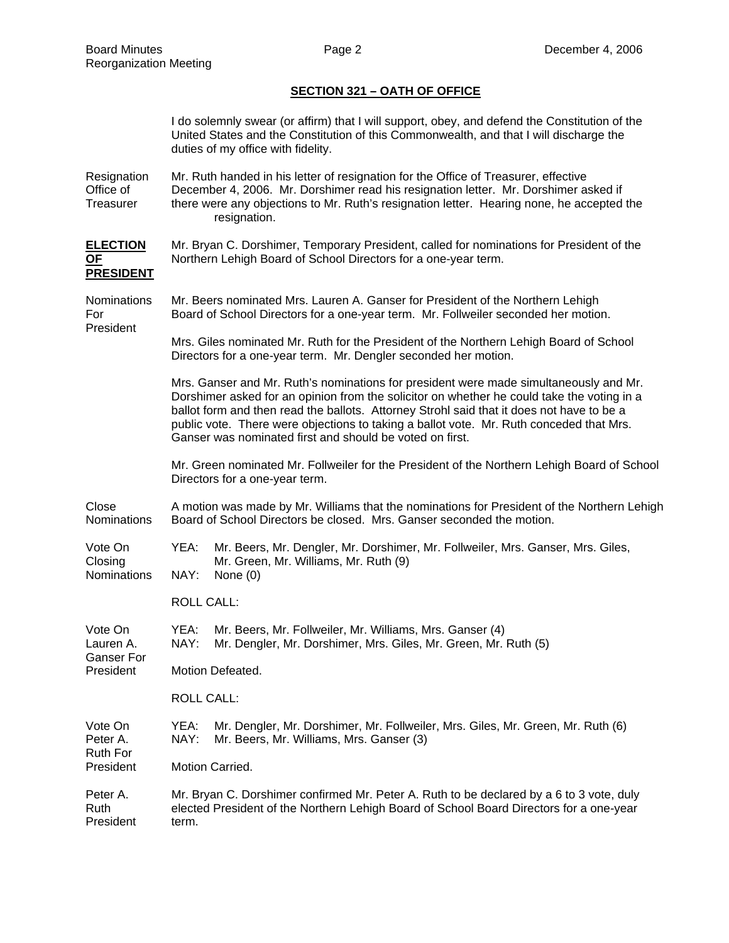## **SECTION 321 – OATH OF OFFICE**

|                                           |                                                                                                                                                                                                                                                                                                                                                                                                                                         | I do solemnly swear (or affirm) that I will support, obey, and defend the Constitution of the<br>United States and the Constitution of this Commonwealth, and that I will discharge the<br>duties of my office with fidelity. |  |  |  |
|-------------------------------------------|-----------------------------------------------------------------------------------------------------------------------------------------------------------------------------------------------------------------------------------------------------------------------------------------------------------------------------------------------------------------------------------------------------------------------------------------|-------------------------------------------------------------------------------------------------------------------------------------------------------------------------------------------------------------------------------|--|--|--|
| Resignation<br>Office of<br>Treasurer     | Mr. Ruth handed in his letter of resignation for the Office of Treasurer, effective<br>December 4, 2006. Mr. Dorshimer read his resignation letter. Mr. Dorshimer asked if<br>there were any objections to Mr. Ruth's resignation letter. Hearing none, he accepted the<br>resignation.                                                                                                                                                 |                                                                                                                                                                                                                               |  |  |  |
| <b>ELECTION</b><br>OF<br><b>PRESIDENT</b> | Mr. Bryan C. Dorshimer, Temporary President, called for nominations for President of the<br>Northern Lehigh Board of School Directors for a one-year term.                                                                                                                                                                                                                                                                              |                                                                                                                                                                                                                               |  |  |  |
| Nominations<br>For<br>President           | Mr. Beers nominated Mrs. Lauren A. Ganser for President of the Northern Lehigh<br>Board of School Directors for a one-year term. Mr. Follweiler seconded her motion.                                                                                                                                                                                                                                                                    |                                                                                                                                                                                                                               |  |  |  |
|                                           | Mrs. Giles nominated Mr. Ruth for the President of the Northern Lehigh Board of School<br>Directors for a one-year term. Mr. Dengler seconded her motion.                                                                                                                                                                                                                                                                               |                                                                                                                                                                                                                               |  |  |  |
|                                           | Mrs. Ganser and Mr. Ruth's nominations for president were made simultaneously and Mr.<br>Dorshimer asked for an opinion from the solicitor on whether he could take the voting in a<br>ballot form and then read the ballots. Attorney Strohl said that it does not have to be a<br>public vote. There were objections to taking a ballot vote. Mr. Ruth conceded that Mrs.<br>Ganser was nominated first and should be voted on first. |                                                                                                                                                                                                                               |  |  |  |
|                                           | Mr. Green nominated Mr. Follweiler for the President of the Northern Lehigh Board of School<br>Directors for a one-year term.                                                                                                                                                                                                                                                                                                           |                                                                                                                                                                                                                               |  |  |  |
| Close<br><b>Nominations</b>               | A motion was made by Mr. Williams that the nominations for President of the Northern Lehigh<br>Board of School Directors be closed. Mrs. Ganser seconded the motion.                                                                                                                                                                                                                                                                    |                                                                                                                                                                                                                               |  |  |  |
| Vote On<br>Closing<br><b>Nominations</b>  | YEA:<br>NAY:                                                                                                                                                                                                                                                                                                                                                                                                                            | Mr. Beers, Mr. Dengler, Mr. Dorshimer, Mr. Follweiler, Mrs. Ganser, Mrs. Giles,<br>Mr. Green, Mr. Williams, Mr. Ruth (9)<br>None $(0)$                                                                                        |  |  |  |
|                                           | <b>ROLL CALL:</b>                                                                                                                                                                                                                                                                                                                                                                                                                       |                                                                                                                                                                                                                               |  |  |  |
| Vote On<br>Lauren A.                      | YEA:                                                                                                                                                                                                                                                                                                                                                                                                                                    | Mr. Beers, Mr. Follweiler, Mr. Williams, Mrs. Ganser (4)<br>NAY: Mr. Dengler, Mr. Dorshimer, Mrs. Giles, Mr. Green, Mr. Ruth (5)                                                                                              |  |  |  |
| <b>Ganser For</b><br>President            | Motion Defeated.                                                                                                                                                                                                                                                                                                                                                                                                                        |                                                                                                                                                                                                                               |  |  |  |
|                                           | <b>ROLL CALL:</b>                                                                                                                                                                                                                                                                                                                                                                                                                       |                                                                                                                                                                                                                               |  |  |  |
| Vote On<br>Peter A.<br>Ruth For           | YEA:<br>NAY:                                                                                                                                                                                                                                                                                                                                                                                                                            | Mr. Dengler, Mr. Dorshimer, Mr. Follweiler, Mrs. Giles, Mr. Green, Mr. Ruth (6)<br>Mr. Beers, Mr. Williams, Mrs. Ganser (3)                                                                                                   |  |  |  |
| President                                 | Motion Carried.                                                                                                                                                                                                                                                                                                                                                                                                                         |                                                                                                                                                                                                                               |  |  |  |
| Peter A.<br>Ruth<br>President             | Mr. Bryan C. Dorshimer confirmed Mr. Peter A. Ruth to be declared by a 6 to 3 vote, duly<br>elected President of the Northern Lehigh Board of School Board Directors for a one-year<br>term.                                                                                                                                                                                                                                            |                                                                                                                                                                                                                               |  |  |  |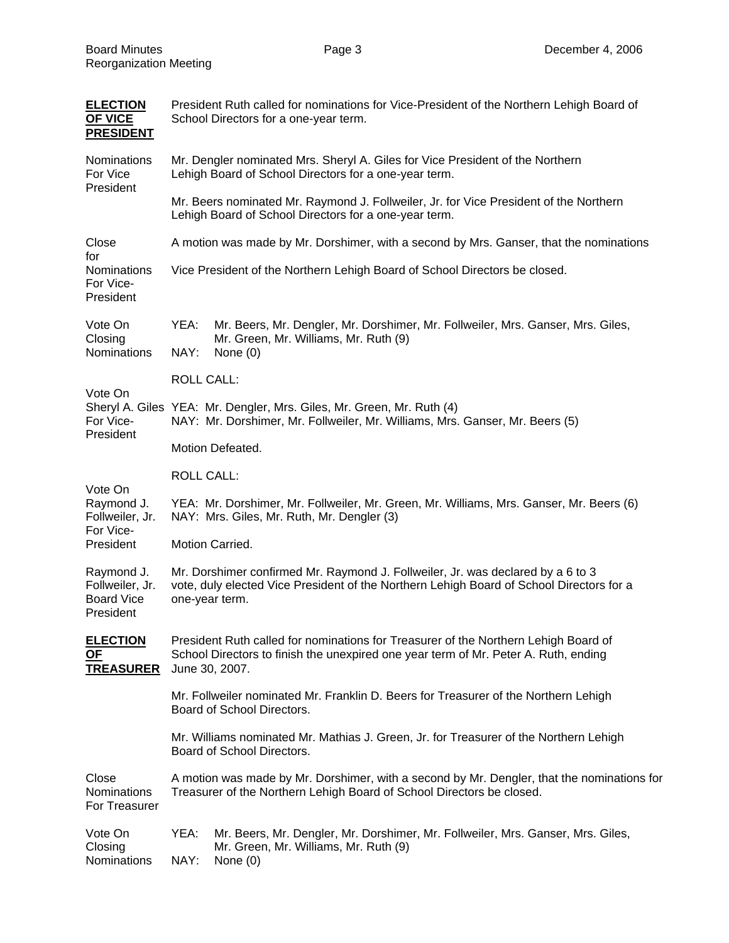| <b>ELECTION</b><br><b>OF VICE</b><br><b>PRESIDENT</b>           | President Ruth called for nominations for Vice-President of the Northern Lehigh Board of<br>School Directors for a one-year term.                                                             |                                                                                                                                        |  |  |  |
|-----------------------------------------------------------------|-----------------------------------------------------------------------------------------------------------------------------------------------------------------------------------------------|----------------------------------------------------------------------------------------------------------------------------------------|--|--|--|
| Nominations<br>For Vice<br>President                            | Mr. Dengler nominated Mrs. Sheryl A. Giles for Vice President of the Northern<br>Lehigh Board of School Directors for a one-year term.                                                        |                                                                                                                                        |  |  |  |
|                                                                 | Mr. Beers nominated Mr. Raymond J. Follweiler, Jr. for Vice President of the Northern<br>Lehigh Board of School Directors for a one-year term.                                                |                                                                                                                                        |  |  |  |
| Close<br>for<br><b>Nominations</b><br>For Vice-<br>President    | A motion was made by Mr. Dorshimer, with a second by Mrs. Ganser, that the nominations                                                                                                        |                                                                                                                                        |  |  |  |
|                                                                 |                                                                                                                                                                                               | Vice President of the Northern Lehigh Board of School Directors be closed.                                                             |  |  |  |
| Vote On<br>Closing<br>Nominations                               | YEA:<br>NAY:                                                                                                                                                                                  | Mr. Beers, Mr. Dengler, Mr. Dorshimer, Mr. Follweiler, Mrs. Ganser, Mrs. Giles,<br>Mr. Green, Mr. Williams, Mr. Ruth (9)<br>None $(0)$ |  |  |  |
|                                                                 | <b>ROLL CALL:</b>                                                                                                                                                                             |                                                                                                                                        |  |  |  |
| Vote On<br>For Vice-<br>President                               | Sheryl A. Giles YEA: Mr. Dengler, Mrs. Giles, Mr. Green, Mr. Ruth (4)<br>NAY: Mr. Dorshimer, Mr. Follweiler, Mr. Williams, Mrs. Ganser, Mr. Beers (5)                                         |                                                                                                                                        |  |  |  |
|                                                                 | Motion Defeated.                                                                                                                                                                              |                                                                                                                                        |  |  |  |
|                                                                 | <b>ROLL CALL:</b>                                                                                                                                                                             |                                                                                                                                        |  |  |  |
| Vote On<br>Raymond J.<br>Follweiler, Jr.<br>For Vice-           | YEA: Mr. Dorshimer, Mr. Follweiler, Mr. Green, Mr. Williams, Mrs. Ganser, Mr. Beers (6)<br>NAY: Mrs. Giles, Mr. Ruth, Mr. Dengler (3)                                                         |                                                                                                                                        |  |  |  |
| President                                                       | Motion Carried.                                                                                                                                                                               |                                                                                                                                        |  |  |  |
| Raymond J.<br>Follweiler, Jr.<br><b>Board Vice</b><br>President | Mr. Dorshimer confirmed Mr. Raymond J. Follweiler, Jr. was declared by a 6 to 3<br>vote, duly elected Vice President of the Northern Lehigh Board of School Directors for a<br>one-year term. |                                                                                                                                        |  |  |  |
| <b>ELECTION</b><br><u>OF</u><br><b>TREASURER</b>                | President Ruth called for nominations for Treasurer of the Northern Lehigh Board of<br>School Directors to finish the unexpired one year term of Mr. Peter A. Ruth, ending<br>June 30, 2007.  |                                                                                                                                        |  |  |  |
|                                                                 | Mr. Follweiler nominated Mr. Franklin D. Beers for Treasurer of the Northern Lehigh<br>Board of School Directors.                                                                             |                                                                                                                                        |  |  |  |
|                                                                 | Mr. Williams nominated Mr. Mathias J. Green, Jr. for Treasurer of the Northern Lehigh<br>Board of School Directors.                                                                           |                                                                                                                                        |  |  |  |
| Close<br>Nominations<br>For Treasurer                           | A motion was made by Mr. Dorshimer, with a second by Mr. Dengler, that the nominations for<br>Treasurer of the Northern Lehigh Board of School Directors be closed.                           |                                                                                                                                        |  |  |  |
| Vote On<br>Closing<br>Nominations                               | YEA:<br>NAY:                                                                                                                                                                                  | Mr. Beers, Mr. Dengler, Mr. Dorshimer, Mr. Follweiler, Mrs. Ganser, Mrs. Giles,<br>Mr. Green, Mr. Williams, Mr. Ruth (9)<br>None $(0)$ |  |  |  |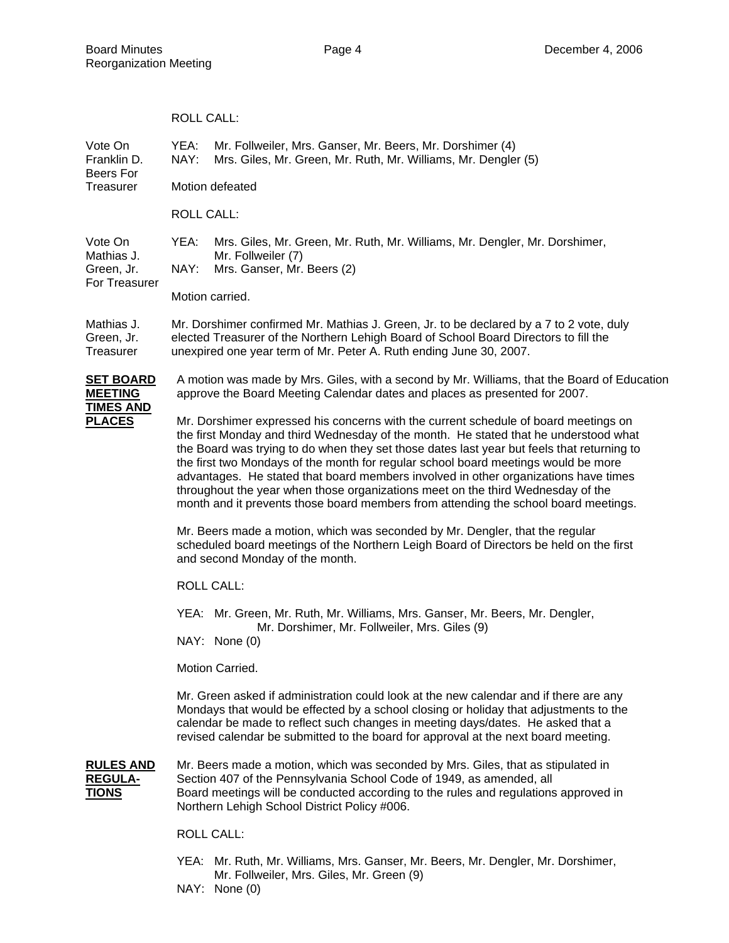|                                                                         | <b>ROLL CALL:</b>                                                                                                                                                                                                                                                                                                                                                                                                                                                                                                                                                                                                                |                                                                                                                                |  |  |  |  |
|-------------------------------------------------------------------------|----------------------------------------------------------------------------------------------------------------------------------------------------------------------------------------------------------------------------------------------------------------------------------------------------------------------------------------------------------------------------------------------------------------------------------------------------------------------------------------------------------------------------------------------------------------------------------------------------------------------------------|--------------------------------------------------------------------------------------------------------------------------------|--|--|--|--|
| Vote On<br>Franklin D.<br>Beers For<br>Treasurer                        | YEA:<br>NAY:                                                                                                                                                                                                                                                                                                                                                                                                                                                                                                                                                                                                                     | Mr. Follweiler, Mrs. Ganser, Mr. Beers, Mr. Dorshimer (4)<br>Mrs. Giles, Mr. Green, Mr. Ruth, Mr. Williams, Mr. Dengler (5)    |  |  |  |  |
|                                                                         | Motion defeated                                                                                                                                                                                                                                                                                                                                                                                                                                                                                                                                                                                                                  |                                                                                                                                |  |  |  |  |
|                                                                         | <b>ROLL CALL:</b>                                                                                                                                                                                                                                                                                                                                                                                                                                                                                                                                                                                                                |                                                                                                                                |  |  |  |  |
| Vote On<br>Mathias J.<br>Green, Jr.                                     | YEA:<br>NAY:                                                                                                                                                                                                                                                                                                                                                                                                                                                                                                                                                                                                                     | Mrs. Giles, Mr. Green, Mr. Ruth, Mr. Williams, Mr. Dengler, Mr. Dorshimer,<br>Mr. Follweiler (7)<br>Mrs. Ganser, Mr. Beers (2) |  |  |  |  |
| For Treasurer                                                           |                                                                                                                                                                                                                                                                                                                                                                                                                                                                                                                                                                                                                                  | Motion carried.                                                                                                                |  |  |  |  |
| Mathias J.<br>Green, Jr.<br>Treasurer                                   | Mr. Dorshimer confirmed Mr. Mathias J. Green, Jr. to be declared by a 7 to 2 vote, duly<br>elected Treasurer of the Northern Lehigh Board of School Board Directors to fill the<br>unexpired one year term of Mr. Peter A. Ruth ending June 30, 2007.                                                                                                                                                                                                                                                                                                                                                                            |                                                                                                                                |  |  |  |  |
| <b>SET BOARD</b><br><b>MEETING</b><br><b>TIMES AND</b><br><b>PLACES</b> | A motion was made by Mrs. Giles, with a second by Mr. Williams, that the Board of Education<br>approve the Board Meeting Calendar dates and places as presented for 2007.                                                                                                                                                                                                                                                                                                                                                                                                                                                        |                                                                                                                                |  |  |  |  |
|                                                                         | Mr. Dorshimer expressed his concerns with the current schedule of board meetings on<br>the first Monday and third Wednesday of the month. He stated that he understood what<br>the Board was trying to do when they set those dates last year but feels that returning to<br>the first two Mondays of the month for regular school board meetings would be more<br>advantages. He stated that board members involved in other organizations have times<br>throughout the year when those organizations meet on the third Wednesday of the<br>month and it prevents those board members from attending the school board meetings. |                                                                                                                                |  |  |  |  |
|                                                                         | Mr. Beers made a motion, which was seconded by Mr. Dengler, that the regular<br>scheduled board meetings of the Northern Leigh Board of Directors be held on the first<br>and second Monday of the month.                                                                                                                                                                                                                                                                                                                                                                                                                        |                                                                                                                                |  |  |  |  |
|                                                                         |                                                                                                                                                                                                                                                                                                                                                                                                                                                                                                                                                                                                                                  | <b>ROLL CALL:</b>                                                                                                              |  |  |  |  |
|                                                                         | YEA: Mr. Green, Mr. Ruth, Mr. Williams, Mrs. Ganser, Mr. Beers, Mr. Dengler,<br>Mr. Dorshimer, Mr. Follweiler, Mrs. Giles (9)<br>NAY: None (0)                                                                                                                                                                                                                                                                                                                                                                                                                                                                                   |                                                                                                                                |  |  |  |  |
|                                                                         |                                                                                                                                                                                                                                                                                                                                                                                                                                                                                                                                                                                                                                  | Motion Carried.                                                                                                                |  |  |  |  |
|                                                                         | Mr. Green asked if administration could look at the new calendar and if there are any<br>Mondays that would be effected by a school closing or holiday that adjustments to the<br>calendar be made to reflect such changes in meeting days/dates. He asked that a<br>revised calendar be submitted to the board for approval at the next board meeting.                                                                                                                                                                                                                                                                          |                                                                                                                                |  |  |  |  |
| <b>RULES AND</b><br><b>REGULA-</b><br><u>TIONS</u>                      | Mr. Beers made a motion, which was seconded by Mrs. Giles, that as stipulated in<br>Section 407 of the Pennsylvania School Code of 1949, as amended, all<br>Board meetings will be conducted according to the rules and regulations approved in<br>Northern Lehigh School District Policy #006.                                                                                                                                                                                                                                                                                                                                  |                                                                                                                                |  |  |  |  |
|                                                                         |                                                                                                                                                                                                                                                                                                                                                                                                                                                                                                                                                                                                                                  | <b>ROLL CALL:</b>                                                                                                              |  |  |  |  |

- YEA: Mr. Ruth, Mr. Williams, Mrs. Ganser, Mr. Beers, Mr. Dengler, Mr. Dorshimer, Mr. Follweiler, Mrs. Giles, Mr. Green (9)
- NAY: None (0)